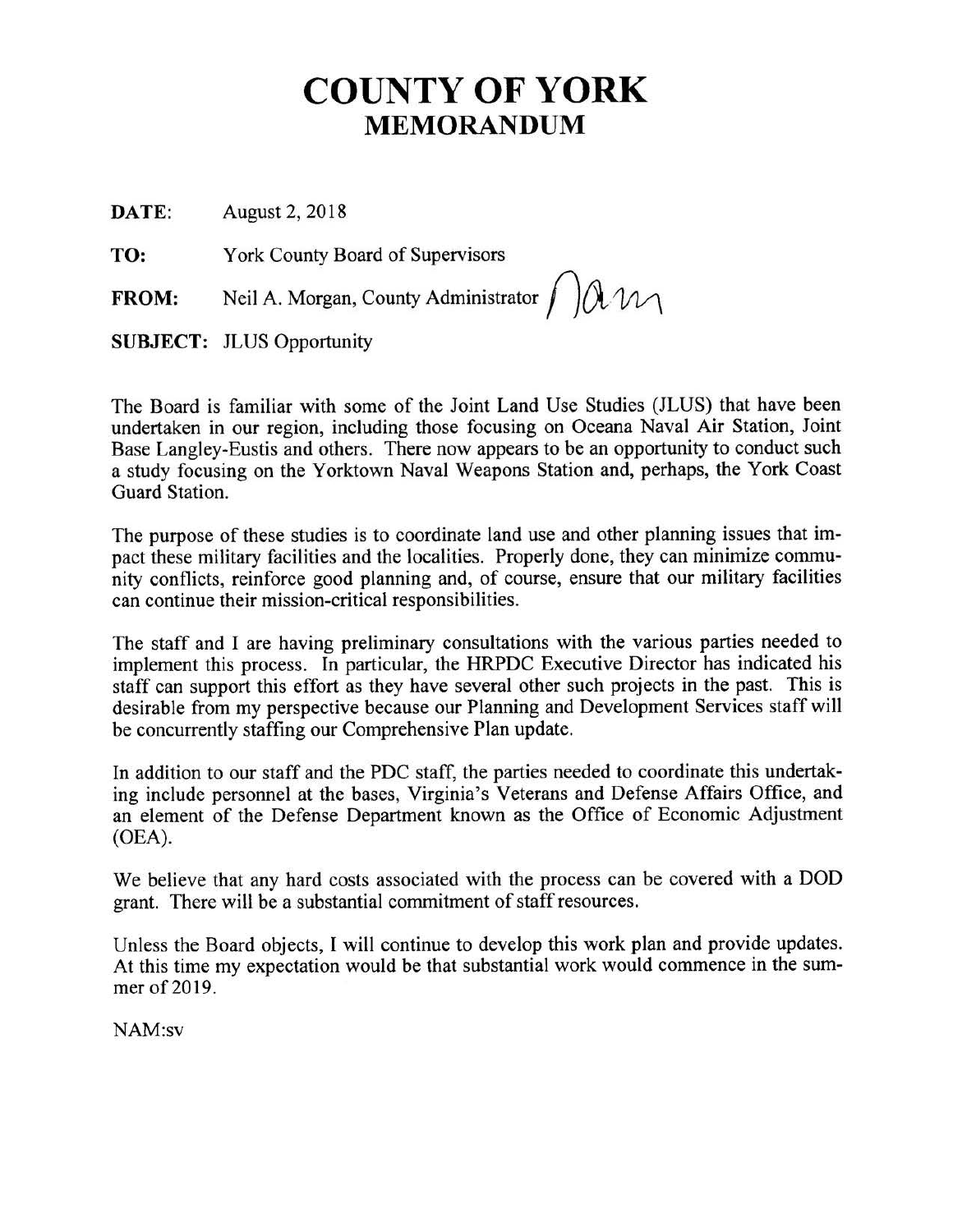## **COUNTY OF YORK MEMORANDUM**

**DA TE:** August 2, 2018

**TO:** York County Board of Supervisors

**FROM:** Neil A. Morgan, County Administrator  $\int$   $\int \mathcal{M}$ 

**SUBJECT:** JLUS Opportunity

The Board is familiar with some of the Joint Land Use Studies (JLUS) that have been undertaken in our region, including those focusing on Oceana Naval Air Station, Joint Base Langley-Eustis and others. There now appears to be an opportunity to conduct such a study focusing on the Yorktown Naval Weapons Station and, perhaps, the York Coast Guard Station.

The purpose of these studies is to coordinate land use and other planning issues that impact these military facilities and the localities. Properly done, they can minimize community conflicts, reinforce good planning and, of course, ensure that our military facilities can continue their mission-critical responsibilities.

The staff and I are having preliminary consultations with the various parties needed to implement this process. In particular, the HRPDC Executive Director has indicated his staff can support this effort as they have several other such projects in the past. This is desirable from my perspective because our Planning and Development Services staff will be concurrently staffing our Comprehensive Plan update.

In addition to our staff and the PDC staff, the parties needed to coordinate this undertaking include personnel at the bases, Virginia's Veterans and Defense Affairs Office, and an element of the Defense Department known as the Office of Economic Adjustment (OEA).

We believe that any hard costs associated with the process can be covered with a DOD grant. There will be a substantial commitment of staff resources.

Unless the Board objects, I will continue to develop this work plan and provide updates. At this time my expectation would be that substantial work would commence in the summer of 2019.

NAM:sv